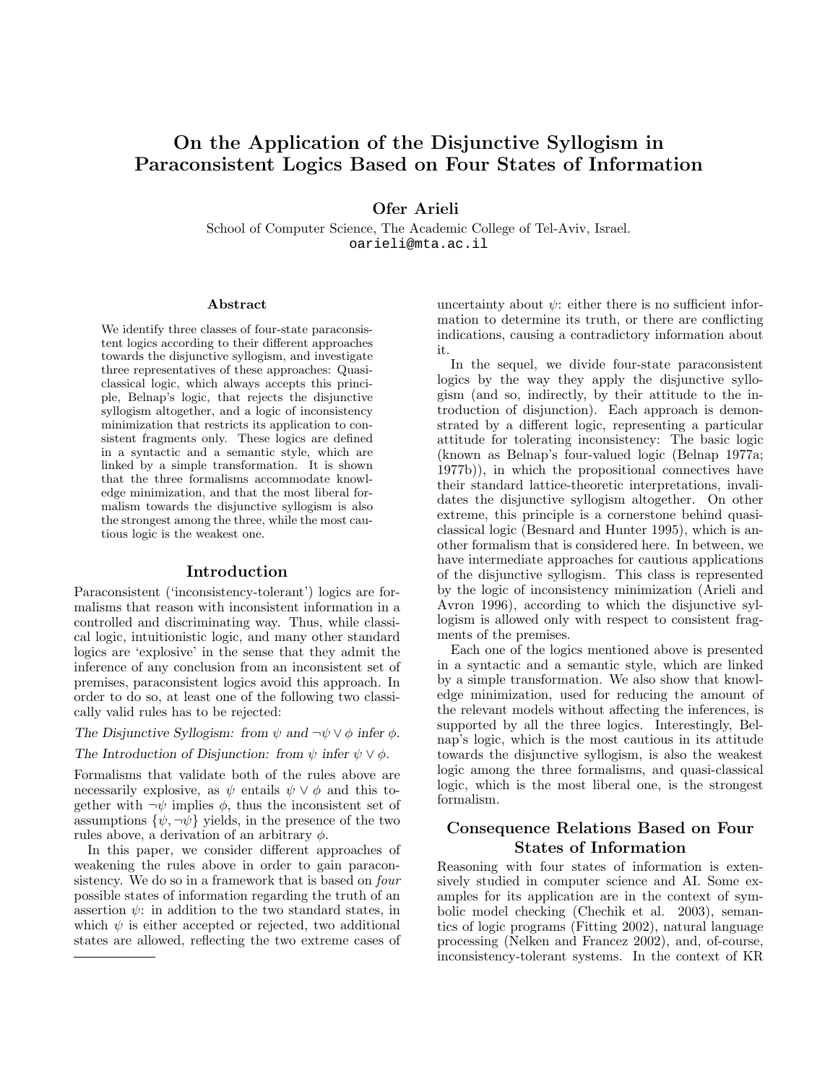# On the Application of the Disjunctive Syllogism in Paraconsistent Logics Based on Four States of Information

Ofer Arieli

School of Computer Science, The Academic College of Tel-Aviv, Israel. oarieli@mta.ac.il

#### Abstract

We identify three classes of four-state paraconsistent logics according to their different approaches towards the disjunctive syllogism, and investigate three representatives of these approaches: Quasiclassical logic, which always accepts this principle, Belnap's logic, that rejects the disjunctive syllogism altogether, and a logic of inconsistency minimization that restricts its application to consistent fragments only. These logics are defined in a syntactic and a semantic style, which are linked by a simple transformation. It is shown that the three formalisms accommodate knowledge minimization, and that the most liberal formalism towards the disjunctive syllogism is also the strongest among the three, while the most cautious logic is the weakest one.

#### Introduction

Paraconsistent ('inconsistency-tolerant') logics are formalisms that reason with inconsistent information in a controlled and discriminating way. Thus, while classical logic, intuitionistic logic, and many other standard logics are 'explosive' in the sense that they admit the inference of any conclusion from an inconsistent set of premises, paraconsistent logics avoid this approach. In order to do so, at least one of the following two classically valid rules has to be rejected:

The Disjunctive Syllogism: from  $\psi$  and  $\neg \psi \lor \phi$  infer  $\phi$ .

The Introduction of Disjunction: from  $\psi$  infer  $\psi \vee \phi$ .

Formalisms that validate both of the rules above are necessarily explosive, as  $\psi$  entails  $\psi \vee \phi$  and this together with  $\neg \psi$  implies  $\phi$ , thus the inconsistent set of assumptions  $\{\psi, \neg \psi\}$  yields, in the presence of the two rules above, a derivation of an arbitrary  $\phi$ .

In this paper, we consider different approaches of weakening the rules above in order to gain paraconsistency. We do so in a framework that is based on four possible states of information regarding the truth of an assertion  $\psi$ : in addition to the two standard states, in which  $\psi$  is either accepted or rejected, two additional states are allowed, reflecting the two extreme cases of uncertainty about  $\psi$ : either there is no sufficient information to determine its truth, or there are conflicting indications, causing a contradictory information about it.

In the sequel, we divide four-state paraconsistent logics by the way they apply the disjunctive syllogism (and so, indirectly, by their attitude to the introduction of disjunction). Each approach is demonstrated by a different logic, representing a particular attitude for tolerating inconsistency: The basic logic (known as Belnap's four-valued logic (Belnap 1977a; 1977b)), in which the propositional connectives have their standard lattice-theoretic interpretations, invalidates the disjunctive syllogism altogether. On other extreme, this principle is a cornerstone behind quasiclassical logic (Besnard and Hunter 1995), which is another formalism that is considered here. In between, we have intermediate approaches for cautious applications of the disjunctive syllogism. This class is represented by the logic of inconsistency minimization (Arieli and Avron 1996), according to which the disjunctive syllogism is allowed only with respect to consistent fragments of the premises.

Each one of the logics mentioned above is presented in a syntactic and a semantic style, which are linked by a simple transformation. We also show that knowledge minimization, used for reducing the amount of the relevant models without affecting the inferences, is supported by all the three logics. Interestingly, Belnap's logic, which is the most cautious in its attitude towards the disjunctive syllogism, is also the weakest logic among the three formalisms, and quasi-classical logic, which is the most liberal one, is the strongest formalism.

# Consequence Relations Based on Four States of Information

Reasoning with four states of information is extensively studied in computer science and AI. Some examples for its application are in the context of symbolic model checking (Chechik et al. 2003), semantics of logic programs (Fitting 2002), natural language processing (Nelken and Francez 2002), and, of-course, inconsistency-tolerant systems. In the context of KR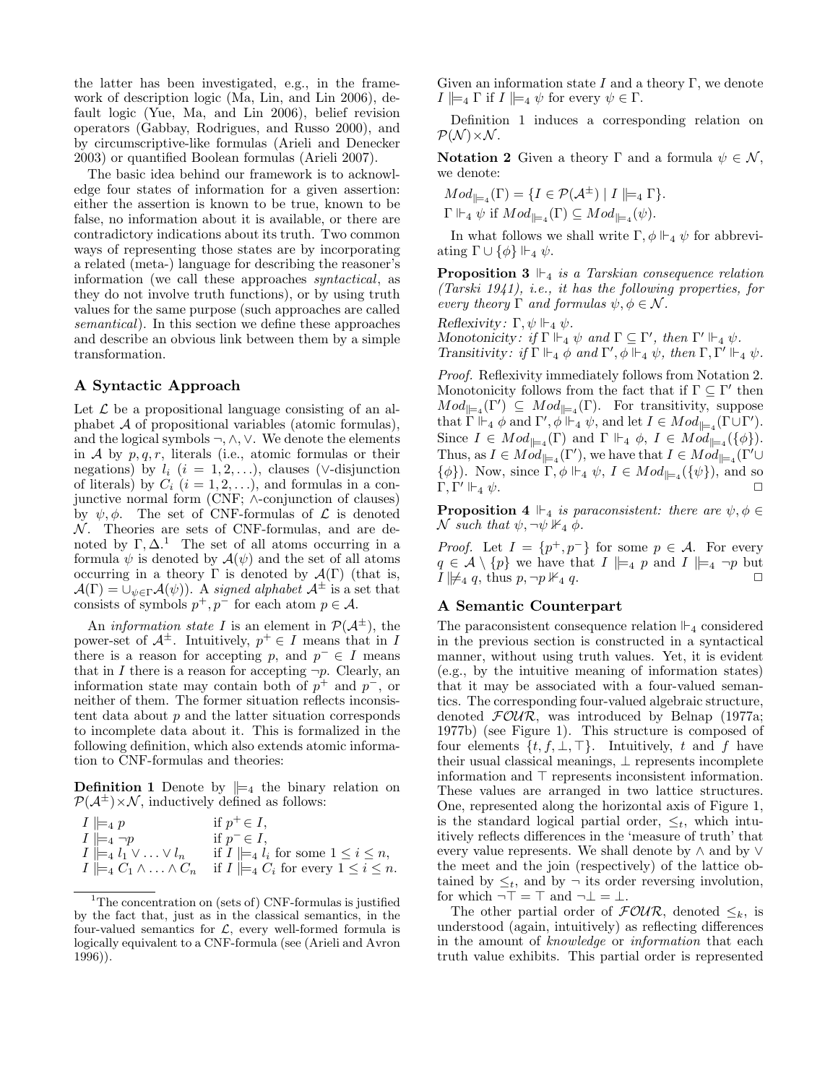the latter has been investigated, e.g., in the framework of description logic (Ma, Lin, and Lin 2006), default logic (Yue, Ma, and Lin 2006), belief revision operators (Gabbay, Rodrigues, and Russo 2000), and by circumscriptive-like formulas (Arieli and Denecker 2003) or quantified Boolean formulas (Arieli 2007).

The basic idea behind our framework is to acknowledge four states of information for a given assertion: either the assertion is known to be true, known to be false, no information about it is available, or there are contradictory indications about its truth. Two common ways of representing those states are by incorporating a related (meta-) language for describing the reasoner's information (we call these approaches syntactical, as they do not involve truth functions), or by using truth values for the same purpose (such approaches are called semantical). In this section we define these approaches and describe an obvious link between them by a simple transformation.

#### A Syntactic Approach

Let  $\mathcal L$  be a propositional language consisting of an alphabet  $A$  of propositional variables (atomic formulas), and the logical symbols ¬,∧,∨. We denote the elements in A by  $p, q, r$ , literals (i.e., atomic formulas or their negations) by  $l_i$   $(i = 1, 2, ...)$ , clauses (∨-disjunction of literals) by  $C_i$   $(i = 1, 2, ...)$ , and formulas in a conjunctive normal form (CNF; ∧-conjunction of clauses) by  $\psi, \phi$ . The set of CNF-formulas of  $\mathcal L$  is denoted  $N$ . Theories are sets of CNF-formulas, and are denoted by  $\Gamma, \Delta$ <sup>1</sup>. The set of all atoms occurring in a formula  $\psi$  is denoted by  $\mathcal{A}(\psi)$  and the set of all atoms occurring in a theory  $\Gamma$  is denoted by  $\mathcal{A}(\Gamma)$  (that is,  $\mathcal{A}(\Gamma) = \bigcup_{\psi \in \Gamma} \mathcal{A}(\psi)$ . A signed alphabet  $\mathcal{A}^{\pm}$  is a set that consists of symbols  $p^+, p^-$  for each atom  $p \in \mathcal{A}$ .

An *information state* I is an element in  $\mathcal{P}(\mathcal{A}^{\pm})$ , the power-set of  $A^{\pm}$ . Intuitively,  $p^{+} \in I$  means that in I there is a reason for accepting p, and  $p^- \in I$  means that in I there is a reason for accepting  $\neg p$ . Clearly, an information state may contain both of  $p^+$  and  $p^-$ , or neither of them. The former situation reflects inconsistent data about  $p$  and the latter situation corresponds to incomplete data about it. This is formalized in the following definition, which also extends atomic information to CNF-formulas and theories:

**Definition 1** Denote by  $\vert_{=4}$  the binary relation on  $\mathcal{P}(\mathcal{A}^{\pm})\times\mathcal{N}$ , inductively defined as follows:

| $I \models_4 p$                            | if $p^+ \in I$ ,                                   |
|--------------------------------------------|----------------------------------------------------|
| $I \Vdash_4 \neg p$                        | if $p^- \in I$ ,                                   |
| $I \models_4 l_1 \vee \ldots \vee l_n$     | if $I \models_4 l_i$ for some $1 \leq i \leq n$ ,  |
| $I \models_4 C_1 \wedge \ldots \wedge C_n$ | if $I \models_4 C_i$ for every $1 \leq i \leq n$ . |

<sup>&</sup>lt;sup>1</sup>The concentration on (sets of) CNF-formulas is justified by the fact that, just as in the classical semantics, in the four-valued semantics for  $\mathcal{L}$ , every well-formed formula is logically equivalent to a CNF-formula (see (Arieli and Avron 1996)).

Given an information state I and a theory Γ, we denote  $I \models_4 \Gamma$  if  $I \models_4 \psi$  for every  $\psi \in \Gamma$ .

Definition 1 induces a corresponding relation on  $\mathcal{P}(\mathcal{N})\times\mathcal{N}$ .

**Notation 2** Given a theory Γ and a formula  $\psi \in \mathcal{N}$ , we denote:

$$
Mod_{\parallel = 4}(\Gamma) = \{ I \in \mathcal{P}(\mathcal{A}^{\pm}) \mid I \mid \models_4 \Gamma \}.
$$

 $\Gamma \Vdash_4 \psi$  if  $Mod_{\vDash_4}(\Gamma) \subseteq Mod_{\vDash_4}(\psi)$ .

In what follows we shall write  $\Gamma$ ,  $\phi \Vdash_4 \psi$  for abbreviating  $\Gamma \cup {\phi}$   $\Vdash_4 \psi$ .

**Proposition 3**  $\mathbb{F}_4$  is a Tarskian consequence relation (Tarski 1941), i.e., it has the following properties, for every theory  $\Gamma$  and formulas  $\psi, \phi \in \mathcal{N}$ .

Reflexivity:  $\Gamma, \psi \Vdash_4 \psi$ .

Monotonicity: if  $\Gamma \Vdash_4 \psi$  and  $\Gamma \subseteq \Gamma'$ , then  $\Gamma' \Vdash_4 \psi$ . Transitivity: if  $\Gamma \Vdash_4 \phi$  and  $\Gamma', \phi \Vdash_4 \psi$ , then  $\Gamma, \Gamma' \Vdash_4 \psi$ .

Proof. Reflexivity immediately follows from Notation 2. Monotonicity follows from the fact that if  $\Gamma \subseteq \Gamma'$  then  $Mod_{\mathbb{H}^4}(\Gamma') \subseteq Mod_{\mathbb{H}^4}(\Gamma)$ . For transitivity, suppose that  $\Gamma \Vdash_4 \phi$  and  $\Gamma', \phi \Vdash_4 \psi$ , and let  $I \in Mod_{\vDash_4}(\Gamma \cup \Gamma').$ Since  $I \in Mod_{\vert \vert = 4}(\Gamma)$  and  $\Gamma \Vdash_4 \phi$ ,  $I \in Mod_{\vert \vert = 4}(\{\phi\}).$ Thus, as  $I \in Mod_{\mid \models_4}(\Gamma')$ , we have that  $I \in Mod_{\mid \models_4}(\Gamma' \cup$  $\{\phi\}$ ). Now, since  $\Gamma, \phi \Vdash_4 \psi$ ,  $I \in Mod_{\lVert =_4}(\{\psi\})$ , and so Γ, Γ'  $\Vdash_{4}$   $\psi$ .  $\mathcal{O}_4$   $\psi$ .

**Proposition 4**  $\Vdash$  is paraconsistent: there are  $\psi, \phi \in$  $\mathcal N$  such that  $\psi$ ,  $\neg \psi \nVdash_4 \phi$ .

*Proof.* Let  $I = \{p^+, p^-\}$  for some  $p \in \mathcal{A}$ . For every  $q \in \mathcal{A} \setminus \{p\}$  we have that  $I \models_4 p$  and  $I \models_4 \neg p$  but  $I \not\models A q$ , thus  $p, \neg p \not\models_A q$ .  $I \not\modelsq q$ , thus  $p, \neg p \nVdashq q$ .

### A Semantic Counterpart

The paraconsistent consequence relation  $\mathbb{F}_4$  considered in the previous section is constructed in a syntactical manner, without using truth values. Yet, it is evident (e.g., by the intuitive meaning of information states) that it may be associated with a four-valued semantics. The corresponding four-valued algebraic structure, denoted  $FOUR$ , was introduced by Belnap (1977a; 1977b) (see Figure 1). This structure is composed of four elements  $\{t, f, \bot, \top\}$ . Intuitively, t and f have their usual classical meanings,  $\perp$  represents incomplete information and  $\top$  represents inconsistent information. These values are arranged in two lattice structures. One, represented along the horizontal axis of Figure 1, is the standard logical partial order,  $\leq_t$ , which intuitively reflects differences in the 'measure of truth' that every value represents. We shall denote by ∧ and by ∨ the meet and the join (respectively) of the lattice obtained by  $\leq_t$ , and by  $\neg$  its order reversing involution, for which  $\neg$   $\top$  =  $\top$  and  $\neg$   $\bot$  =  $\bot$ .

The other partial order of  $\mathcal{FOUR}$ , denoted  $\leq_k$ , is understood (again, intuitively) as reflecting differences in the amount of knowledge or information that each truth value exhibits. This partial order is represented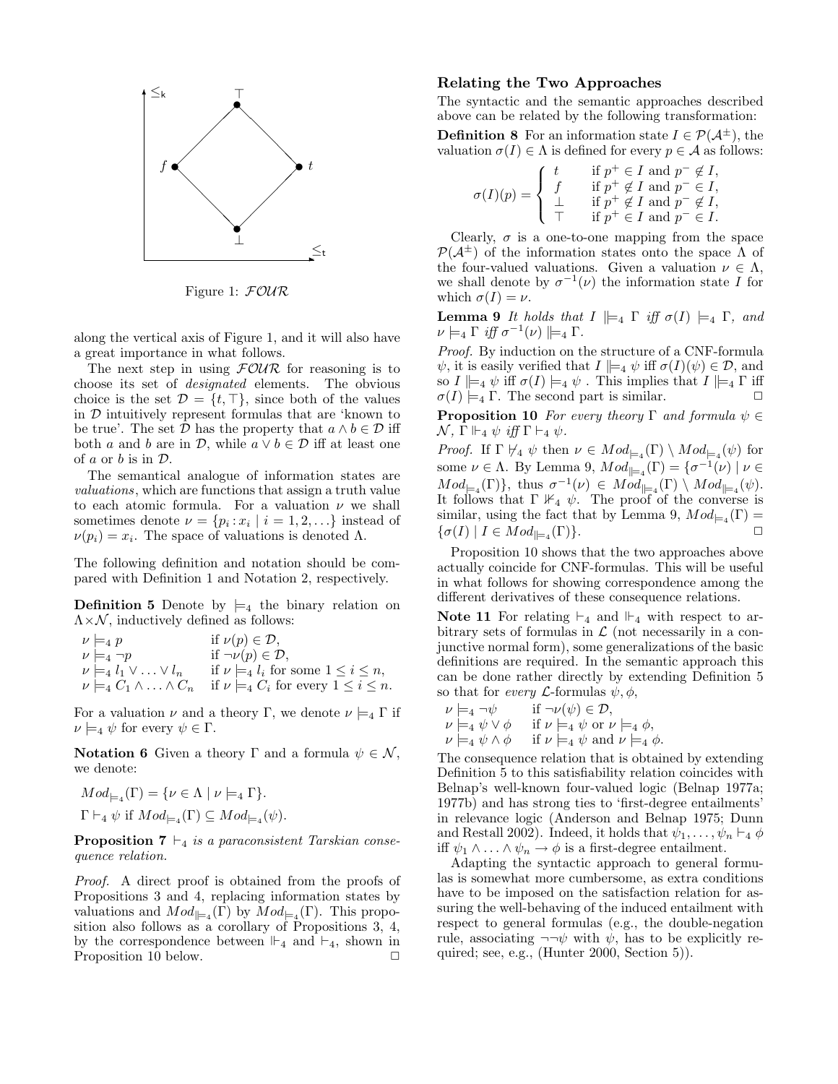

Figure 1: FOUR

along the vertical axis of Figure 1, and it will also have a great importance in what follows.

The next step in using  $FOUR$  for reasoning is to choose its set of designated elements. The obvious choice is the set  $\mathcal{D} = \{t, \top\}$ , since both of the values in  $D$  intuitively represent formulas that are 'known to be true'. The set  $D$  has the property that  $a \wedge b \in D$  iff both a and b are in  $\mathcal{D}$ , while  $a \vee b \in \mathcal{D}$  iff at least one of  $a$  or  $b$  is in  $\mathcal{D}$ .

The semantical analogue of information states are valuations, which are functions that assign a truth value to each atomic formula. For a valuation  $\nu$  we shall sometimes denote  $\nu = \{p_i : x_i \mid i = 1, 2, \ldots\}$  instead of  $\nu(p_i) = x_i$ . The space of valuations is denoted  $\Lambda$ .

The following definition and notation should be compared with Definition 1 and Notation 2, respectively.

**Definition 5** Denote by  $\models_4$  the binary relation on  $\Lambda \times \mathcal{N}$ , inductively defined as follows:

$$
\nu \models_4 p \quad \text{if } \nu(p) \in \mathcal{D},
$$
  
\n
$$
\nu \models_4 \neg p \quad \text{if } \neg \nu(p) \in \mathcal{D},
$$
  
\n
$$
\nu \models_4 l_1 \vee \ldots \vee l_n \quad \text{if } \nu \models_4 l_i \text{ for some } 1 \leq i \leq n,
$$
  
\n
$$
\nu \models_4 C_1 \wedge \ldots \wedge C_n \quad \text{if } \nu \models_4 C_i \text{ for every } 1 \leq i \leq n.
$$

For a valuation  $\nu$  and a theory Γ, we denote  $\nu \models_4 \Gamma$  if  $\nu \models_4 \psi$  for every  $\psi \in \Gamma$ .

Notation 6 Given a theory Γ and a formula  $\psi \in \mathcal{N}$ , we denote:

$$
Mod_{\models_4}(\Gamma) = \{ \nu \in \Lambda \mid \nu \models_4 \Gamma \}.
$$
  

$$
\Gamma \vdash_4 \psi \text{ if } Mod_{\models_4}(\Gamma) \subseteq Mod_{\models_4}(\psi).
$$

**Proposition 7**  $\vdash_4$  is a paraconsistent Tarskian consequence relation.

Proof. A direct proof is obtained from the proofs of Propositions 3 and 4, replacing information states by valuations and  $Mod_{\parallel}_{=4}(\Gamma)$  by  $Mod_{\square}_{4}(\Gamma)$ . This proposition also follows as a corollary of Propositions 3, 4, by the correspondence between  $\mathbb{H}_4$  and  $\mathbb{H}_4$ , shown in Proposition 10 below.

### Relating the Two Approaches

The syntactic and the semantic approaches described above can be related by the following transformation:

**Definition 8** For an information state  $I \in \mathcal{P}(\mathcal{A}^{\pm})$ , the valuation  $\sigma(I) \in \Lambda$  is defined for every  $p \in \mathcal{A}$  as follows:

$$
\sigma(I)(p) = \begin{cases} t & \text{if } p^+ \in I \text{ and } p^- \notin I, \\ f & \text{if } p^+ \notin I \text{ and } p^- \in I, \\ \perp & \text{if } p^+ \notin I \text{ and } p^- \notin I, \\ \top & \text{if } p^+ \in I \text{ and } p^- \in I. \end{cases}
$$

Clearly,  $\sigma$  is a one-to-one mapping from the space  $\mathcal{P}(\mathcal{A}^{\pm})$  of the information states onto the space  $\Lambda$  of the four-valued valuations. Given a valuation  $\nu \in \Lambda$ , we shall denote by  $\sigma^{-1}(\nu)$  the information state I for which  $\sigma(I) = \nu$ .

**Lemma 9** It holds that  $I \models_4 \Gamma$  iff  $\sigma(I) \models_4 \Gamma$ , and  $\nu \models_4 \Gamma \text{ iff } \sigma^{-1}(\nu) \models_4 \Gamma.$ 

Proof. By induction on the structure of a CNF-formula  $\psi$ , it is easily verified that  $I \models_4 \psi$  iff  $\sigma(I)(\psi) \in \mathcal{D}$ , and so  $I \models_4 \psi$  iff  $\sigma(I) \models_4 \psi$ . This implies that  $I \models_4 \Gamma$  iff  $\sigma(I) \models_4 \Gamma$ . The second part is similar.  $\Box$ 

**Proposition 10** For every theory Γ and formula  $\psi \in$  $\mathcal{N}, \Gamma \Vdash_4 \psi \text{ iff } \Gamma \vdash_4 \psi.$ 

*Proof.* If  $\Gamma \not\vdash_4 \psi$  then  $\nu \in Mod_{\models_4}(\Gamma) \setminus Mod_{\models_4}(\psi)$  for some  $\nu \in \Lambda$ . By Lemma 9,  $Mod_{\lVert =_4}(\Gamma) = \{ \sigma^{-1}(\nu) \mid \nu \in$  $Mod_{\mathfrak{p}_4}(\Gamma)$ , thus  $\sigma^{-1}(\nu) \in Mod_{\mathfrak{p}_4}(\Gamma) \setminus Mod_{\mathfrak{p}_4}(\psi)$ . It follows that  $\Gamma \nVdash_4 \psi$ . The proof of the converse is similar, using the fact that by Lemma 9,  $Mod_{\sqsubset_{4}}(\Gamma) =$  $\{\sigma(I) \mid I \in Mod_{\mid \equiv_4}(\Gamma) \}.$ 

Proposition 10 shows that the two approaches above actually coincide for CNF-formulas. This will be useful in what follows for showing correspondence among the different derivatives of these consequence relations.

Note 11 For relating  $\vdash_4$  and  $\vdash_4$  with respect to arbitrary sets of formulas in  $\mathcal L$  (not necessarily in a conjunctive normal form), some generalizations of the basic definitions are required. In the semantic approach this can be done rather directly by extending Definition 5 so that for *every*  $\mathcal{L}$ -formulas  $\psi, \phi$ ,

$$
\nu \models_4 \neg \psi \quad \text{if } \neg \nu(\psi) \in \mathcal{D},
$$
  
\n
$$
\nu \models_4 \psi \lor \phi \quad \text{if } \nu \models_4 \psi \text{ or } \nu \models_4 \phi,
$$
  
\n
$$
\nu \models_4 \psi \land \phi \quad \text{if } \nu \models_4 \psi \text{ and } \nu \models_4 \phi.
$$

The consequence relation that is obtained by extending Definition 5 to this satisfiability relation coincides with Belnap's well-known four-valued logic (Belnap 1977a; 1977b) and has strong ties to 'first-degree entailments' in relevance logic (Anderson and Belnap 1975; Dunn and Restall 2002). Indeed, it holds that  $\psi_1, \ldots, \psi_n \vdash_4 \phi$ iff  $\psi_1 \wedge \ldots \wedge \psi_n \to \phi$  is a first-degree entailment.

Adapting the syntactic approach to general formulas is somewhat more cumbersome, as extra conditions have to be imposed on the satisfaction relation for assuring the well-behaving of the induced entailment with respect to general formulas (e.g., the double-negation rule, associating  $\neg\neg\psi$  with  $\psi$ , has to be explicitly required; see, e.g., (Hunter 2000, Section 5)).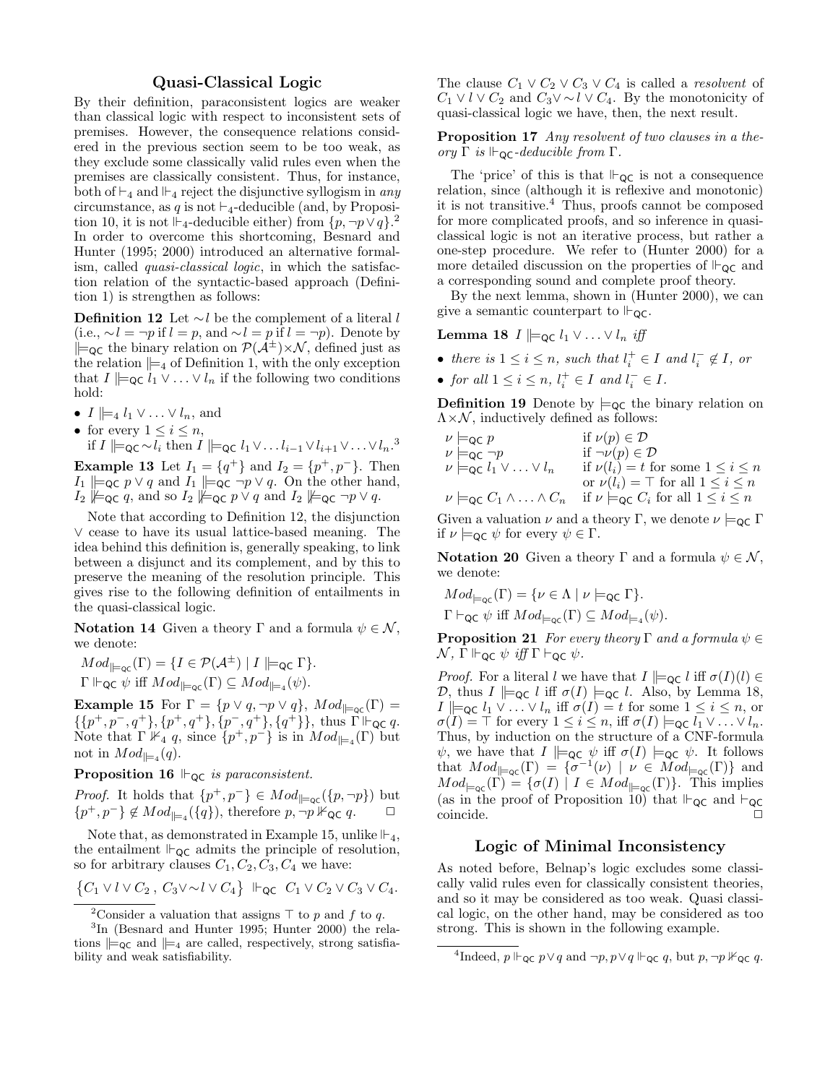## Quasi-Classical Logic

By their definition, paraconsistent logics are weaker than classical logic with respect to inconsistent sets of premises. However, the consequence relations considered in the previous section seem to be too weak, as they exclude some classically valid rules even when the premises are classically consistent. Thus, for instance, both of  $\vdash_4$  and  $\vdash_4$  reject the disjunctive syllogism in any circumstance, as q is not  $\vdash_4$ -deducible (and, by Proposition 10, it is not  $\mathbb{F}_4$ -deducible either) from  $\{p, \neg p \lor q\}$ . In order to overcome this shortcoming, Besnard and Hunter (1995; 2000) introduced an alternative formalism, called quasi-classical logic, in which the satisfaction relation of the syntactic-based approach (Definition 1) is strengthen as follows:

**Definition 12** Let ∼l be the complement of a literal l (i.e.,  $\sim l = \neg p$  if  $l = p$ , and  $\sim l = p$  if  $l = \neg p$ ). Denote by  $\Vert_{\mathsf{QC}}$  the binary relation on  $\mathcal{P}(\mathcal{A}^{\pm})\times\mathcal{N}$ , defined just as the relation  $\models_4$  of Definition 1, with the only exception that  $I \vDash_{\mathsf{QC}} \tilde{l}_1 \vee \ldots \vee l_n$  if the following two conditions hold:

- $I \models_4 l_1 \vee \ldots \vee l_n$ , and
- for every  $1 \leq i \leq n$ ,
- if I  $\Vert =_{\mathsf{QC}} \sim l_i$  then  $I \Vert =_{\mathsf{QC}} l_1 \vee \ldots l_{i-1} \vee l_{i+1} \vee \ldots \vee l_n$ .<sup>3</sup> **Example 13** Let  $I_1 = \{q^+\}\$ and  $I_2 = \{p^+, p^-\}.$  Then  $I_1 \models_{\mathsf{QC}} p \vee q$  and  $I_1 \models_{\mathsf{QC}} \neg p \vee q$ . On the other hand,
- $I_2 \not\models q \in q$ , and so  $I_2 \not\models q \in p \lor q$  and  $I_2 \not\models q \in \neg p \lor q$ .

Note that according to Definition 12, the disjunction ∨ cease to have its usual lattice-based meaning. The idea behind this definition is, generally speaking, to link between a disjunct and its complement, and by this to preserve the meaning of the resolution principle. This gives rise to the following definition of entailments in the quasi-classical logic.

**Notation 14** Given a theory Γ and a formula  $\psi \in \mathcal{N}$ , we denote:

 $Mod_{\mathbb{H}_{\text{loc}}}(\Gamma) = \{I \in \mathcal{P}(\mathcal{A}^{\pm}) \mid I \not\models_{\text{QC}} \Gamma\}.$  $\Gamma \Vdash_{\mathsf{QC}} \psi$  iff  $Mod_{\mathsf{C}(\Gamma)} \subseteq Mod_{\mathsf{C}(\psi)}$ .

**Example 15** For  $\Gamma = \{p \lor q, \neg p \lor q\}$ ,  $Mod_{\parallel_{\neg QC}}(\Gamma) =$  $\{\{p^+, p^-, q^+\}, \{p^+, q^+\}, \{p^-, q^+\}, \{q^+\}\},\$ thus  $\Gamma \vdash_{\textsf{QC}} q$ . Note that  $\Gamma \nVdash_{4} q$ , since  $\{p^+, p^-\}$  is in  $Mod_{\parallel =4}(\Gamma)$  but not in  $Mod_{\parallel =_4}(q)$ .

**Proposition 16**  $\vdash_{\mathsf{QC}}$  is paraconsistent.

*Proof.* It holds that  $\{p^+, p^-\} \in Mod_{\vert \vert = \text{qc}}(\lbrace p, \neg p \rbrace)$  but  $\{p^+, p^-\}\notin Mod_{\parallel =_4}(\{q\}),\$  therefore  $p, \neg p \nvDash_{\mathsf{QC}} q.$ 

Note that, as demonstrated in Example 15, unlike  $\Vdash_4$ , the entailment  $\mathbb{F}_{\mathsf{QC}}$  admits the principle of resolution, so for arbitrary clauses  $C_1, C_2, C_3, C_4$  we have:

$$
\{C_1 \vee l \vee C_2, C_3 \vee \sim l \vee C_4\} \Vdash_{\mathsf{QC}} C_1 \vee C_2 \vee C_3 \vee C_4.
$$

The clause  $C_1 \vee C_2 \vee C_3 \vee C_4$  is called a *resolvent* of  $C_1 \vee l \vee C_2$  and  $C_3 \vee \sim l \vee C_4$ . By the monotonicity of quasi-classical logic we have, then, the next result.

Proposition 17 Any resolvent of two clauses in a theory Γ is  $\vdash_{\mathsf{QC}}$ -deducible from Γ.

The 'price' of this is that  $\vdash_{\mathsf{QC}}$  is not a consequence relation, since (although it is reflexive and monotonic) it is not transitive.<sup>4</sup> Thus, proofs cannot be composed for more complicated proofs, and so inference in quasiclassical logic is not an iterative process, but rather a one-step procedure. We refer to (Hunter 2000) for a more detailed discussion on the properties of  $\mathbb{F}_{\mathsf{QC}}$  and a corresponding sound and complete proof theory.

By the next lemma, shown in (Hunter 2000), we can give a semantic counterpart to  $\mathbb{F}_{\mathsf{QC}}$ .

**Lemma 18** *I*  $\models$   $\infty$  *l*<sub>1</sub> ∨ ... ∨ *l<sub>n</sub> iff* 

- there is  $1 \leq i \leq n$ , such that  $l_i^+ \in I$  and  $l_i^- \notin I$ , or
- for all  $1 \leq i \leq n$ ,  $l_i^+ \in I$  and  $l_i^- \in I$ .

**Definition 19** Denote by  $\models_{\mathsf{QC}}$  the binary relation on  $\Lambda \times \mathcal{N}$ , inductively defined as follows:

| $\nu \models_{\mathsf{QC}} p$                        | if $\nu(p) \in \mathcal{D}$                                                                                         |
|------------------------------------------------------|---------------------------------------------------------------------------------------------------------------------|
| $\nu \models_{\mathsf{QC}} \neg p$                   | if $\neg \nu(p) \in \mathcal{D}$                                                                                    |
| $\nu \models_{\mathsf{QC}} l_1 \vee \ldots \vee l_n$ | if $\nu(l_i) = t$ for some $1 \leq i \leq n$                                                                        |
|                                                      | or $\nu(l_i) = \top$ for all $1 \leq i \leq n$                                                                      |
|                                                      | $\nu \models_{\mathsf{QC}} C_1 \land \ldots \land C_n$ if $\nu \models_{\mathsf{QC}} C_i$ for all $1 \leq i \leq n$ |

Given a valuation  $\nu$  and a theory Γ, we denote  $\nu \models_{\mathsf{QC}} \Gamma$ if  $\nu \models_{\mathsf{QC}} \psi$  for every  $\psi \in \Gamma$ .

Notation 20 Given a theory Γ and a formula  $\psi \in \mathcal{N}$ , we denote:

$$
Mod_{\models_{\mathsf{QC}}}(\Gamma) = \{ \nu \in \Lambda \mid \nu \models_{\mathsf{QC}} \Gamma \}.
$$
  

$$
\Gamma \vdash_{\mathsf{QC}} \psi \text{ iff } Mod_{\models_{\mathsf{QC}}}(\Gamma) \subseteq Mod_{\models_4}(\psi).
$$

**Proposition 21** For every theory Γ and a formula  $\psi \in$  $\mathcal{N}, \Gamma \Vdash_{\mathsf{QC}} \psi \text{ iff } \Gamma \vdash_{\mathsf{QC}} \psi.$ 

*Proof.* For a literal l we have that  $I \models_{\mathsf{QC}} l$  iff  $\sigma(I)(l) \in$ D, thus  $I \models_{\mathsf{QC}} l$  iff  $\sigma(I) \models_{\mathsf{QC}} l$ . Also, by Lemma 18,  $I \models_{\mathsf{QC}} l_1 \vee \ldots \vee l_n$  iff  $\sigma(I) = t$  for some  $1 \leq i \leq n$ , or  $\sigma(I) = \top$  for every  $1 \leq i \leq n$ , iff  $\sigma(I) \models_{\mathsf{QC}} l_1 \vee \ldots \vee l_n$ . Thus, by induction on the structure of a CNF-formula  $\psi$ , we have that  $I \models_{\mathsf{QC}} \psi$  iff  $\sigma(I) \models_{\mathsf{QC}} \psi$ . It follows that  $Mod_{\vDash_{\mathsf{QC}}}(\Gamma) = {\sigma^{-1}(\nu) \mid \nu \in Mod_{\vDash_{\mathsf{QC}}}(\Gamma)}$  and  $Mod_{\vDash \textsf{qc}}(\Gamma) = \{ \sigma(I) \mid I \in Mod_{\vDash \textsf{qc}}(\Gamma) \}.$  This implies (as in the proof of Proposition 10) that  $\vdash_{\mathsf{QC}}$  and  $\vdash_{\mathsf{QC}}$ coincide.  $\Box$ 

# Logic of Minimal Inconsistency

As noted before, Belnap's logic excludes some classically valid rules even for classically consistent theories, and so it may be considered as too weak. Quasi classical logic, on the other hand, may be considered as too strong. This is shown in the following example.

<sup>&</sup>lt;sup>2</sup>Consider a valuation that assigns  $\top$  to p and f to q.

<sup>3</sup> In (Besnard and Hunter 1995; Hunter 2000) the relations  $\models_{\mathsf{QC}}$  and  $\models_{4}$  are called, respectively, strong satisfiability and weak satisfiability.

<sup>&</sup>lt;sup>4</sup>Indeed,  $p \Vdash_{\mathsf{QC}} p \lor q$  and  $\neg p, p \lor q \Vdash_{\mathsf{QC}} q$ , but  $p, \neg p \nvDash_{\mathsf{QC}} q$ .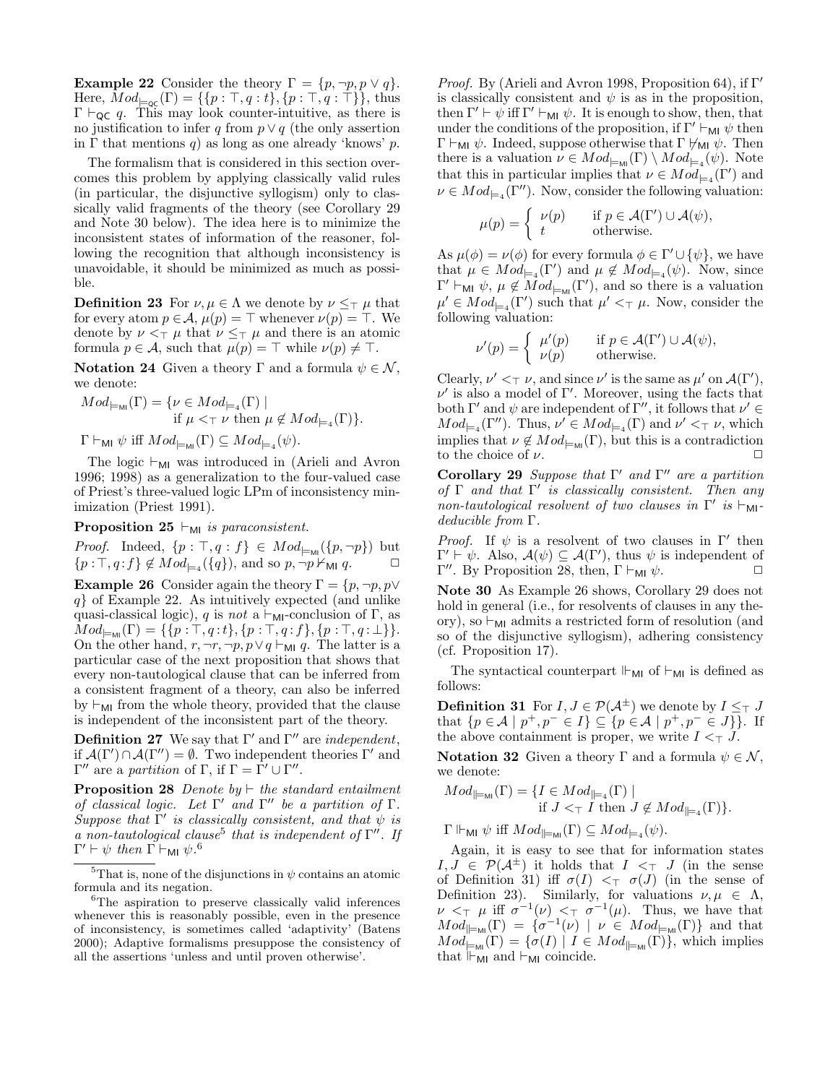**Example 22** Consider the theory  $\Gamma = \{p, \neg p, p \lor q\}.$ Here,  $Mod_{\sqmodels_{\mathsf{OC}}}(\Gamma) = \{\{p : \top, q : t\}, \{p : \top, q : \top\}\}\$ , thus  $\Gamma \vdash_{\mathsf{QC}} q$ . This may look counter-intuitive, as there is no justification to infer q from  $p \vee q$  (the only assertion in  $\Gamma$  that mentions q) as long as one already 'knows' p.

The formalism that is considered in this section overcomes this problem by applying classically valid rules (in particular, the disjunctive syllogism) only to classically valid fragments of the theory (see Corollary 29 and Note 30 below). The idea here is to minimize the inconsistent states of information of the reasoner, following the recognition that although inconsistency is unavoidable, it should be minimized as much as possible.

**Definition 23** For  $\nu, \mu \in \Lambda$  we denote by  $\nu \leq_{\top} \mu$  that for every atom  $p \in A$ ,  $\mu(p) = \top$  whenever  $\nu(p) = \top$ . We denote by  $\nu <_\top \mu$  that  $\nu \leq_\top \mu$  and there is an atomic formula  $p \in \mathcal{A}$ , such that  $\mu(p) = \top$  while  $\nu(p) \neq \top$ .

**Notation 24** Given a theory Γ and a formula  $\psi \in \mathcal{N}$ , we denote:

$$
Mod_{\models \mathsf{M\!I}}(\Gamma) = \{ \nu \in Mod_{\models 4}(\Gamma) \mid \text{if } \mu \leq \top \nu \text{ then } \mu \notin Mod_{\models 4}(\Gamma) \}.
$$

 $\Gamma \vdash_{\mathsf{MI}} \psi \text{ iff } Mod_{\models_{\mathsf{MI}}}(\Gamma) \subseteq Mod_{\models_4}(\psi).$ 

The logic  $\vdash_{\mathsf{M}I}$  was introduced in (Arieli and Avron 1996; 1998) as a generalization to the four-valued case of Priest's three-valued logic LPm of inconsistency minimization (Priest 1991).

**Proposition 25**  $\vdash_{\mathsf{MI}}$  is paraconsistent.

*Proof.* Indeed,  $\{p : \top, q : f\} \in Mod_{\models_{\mathsf{MI}}}(\{p, \neg p\})$  but  $\{p:\top, q: f\} \notin Mod_{\models_4}(\{q\}),$  and so  $p, \neg p \nvdash_{\mathsf{MI}} q.$ 

**Example 26** Consider again the theory  $\Gamma = \{p, \neg p, p \lor \varnothing\}$ q} of Example 22. As intuitively expected (and unlike quasi-classical logic), q is not a  $\vdash_{\mathsf{MI}}$ -conclusion of  $\Gamma$ , as  $Mod_{\models \text{MI}}(\Gamma) = \{ \{p : \top, q : t\}, \{p : \top, q : f\}, \{p : \top, q : \bot\} \}.$ On the other hand,  $r, \neg r, \neg p, p \lor q \vdash_{\mathsf{MI}} q$ . The latter is a particular case of the next proposition that shows that every non-tautological clause that can be inferred from a consistent fragment of a theory, can also be inferred by  $\vdash_{\mathsf{MI}}$  from the whole theory, provided that the clause is independent of the inconsistent part of the theory.

**Definition 27** We say that Γ' and Γ'' are independent, if  $\mathcal{A}(\Gamma') \cap \mathcal{A}(\Gamma'') = \emptyset$ . Two independent theories  $\Gamma'$  and  $\Gamma''$  are a *partition* of Γ, if  $\Gamma = \overline{\Gamma'} \cup \Gamma''$ .

**Proposition 28** Denote by  $\vdash$  the standard entailment of classical logic. Let  $\Gamma'$  and  $\Gamma''$  be a partition of  $\Gamma$ . Suppose that  $\Gamma'$  is classically consistent, and that  $\psi$  is a non-tautological clause<sup>5</sup> that is independent of  $\Gamma''$ . If  $\Gamma' \vdash \psi$  then  $\Gamma \vdash_{\mathsf{MI}} \psi$ .<sup>6</sup>

*Proof.* By (Arieli and Avron 1998, Proposition 64), if  $\Gamma'$ is classically consistent and  $\psi$  is as in the proposition, then  $\Gamma' \vdash \psi$  iff  $\Gamma' \vdash_{\mathsf{MI}} \psi$ . It is enough to show, then, that under the conditions of the proposition, if  $\Gamma' \vdash_{\mathsf{MI}} \psi$  then  $Γ ⊢_{MI} ψ$ . Indeed, suppose otherwise that Γ  $\forall_{MI} ψ$ . Then there is a valuation  $\nu \in Mod_{\models_{\text{MI}}}(\Gamma) \setminus Mod_{\models_4}(\psi)$ . Note that this in particular implies that  $\nu \in Mod_{\mid =_4}(\Gamma')$  and  $\nu \in Mod_{\mid =4}(\Gamma'')$ . Now, consider the following valuation:

$$
\mu(p) = \begin{cases} \nu(p) & \text{if } p \in \mathcal{A}(\Gamma') \cup \mathcal{A}(\psi), \\ t & \text{otherwise.} \end{cases}
$$

As  $\mu(\phi) = \nu(\phi)$  for every formula  $\phi \in \Gamma' \cup {\psi}$ , we have that  $\mu \in Mod_{\models_4}(\Gamma')$  and  $\mu \notin Mod_{\models_4}(\psi)$ . Now, since  $Γ' \vdash_{\mathsf{MI}} \psi, \mu \notin Mod_{\models_{\mathsf{MI}}}(\Gamma'),$  and so there is a valuation  $\mu' \in Mod_{\models_4}(\Gamma')$  such that  $\mu' <_\top \mu$ . Now, consider the following valuation:

$$
\nu'(p) = \begin{cases} \mu'(p) & \text{if } p \in \mathcal{A}(\Gamma') \cup \mathcal{A}(\psi), \\ \nu(p) & \text{otherwise.} \end{cases}
$$

Clearly,  $\nu' <_{\top} \nu$ , and since  $\nu'$  is the same as  $\mu'$  on  $\mathcal{A}(\Gamma')$ ,  $\nu'$  is also a model of  $\Gamma'$ . Moreover, using the facts that both  $\Gamma'$  and  $\psi$  are independent of  $\Gamma''$ , it follows that  $\nu' \in$  $Mod_{\sqsubsetneq_4}(\Gamma'')$ . Thus,  $\nu' \in Mod_{\sqsubsetneq_4}(\Gamma)$  and  $\nu' <_{\top} \nu$ , which implies that  $\nu \notin Mod_{\models_{\mathsf{MI}}}(\Gamma)$ , but this is a contradiction to the choice of  $\nu$ .

Corollary 29 Suppose that  $\Gamma'$  and  $\Gamma''$  are a partition of  $\Gamma$  and that  $\Gamma'$  is classically consistent. Then any non-tautological resolvent of two clauses in  $\Gamma'$  is  $\vdash_{\mathsf{MI}}$ deducible from Γ.

*Proof.* If  $\psi$  is a resolvent of two clauses in  $\Gamma'$  then  $\Gamma' \vdash \psi$ . Also,  $\mathcal{A}(\psi) \subseteq \mathcal{A}(\Gamma')$ , thus  $\psi$  is independent of  $\Gamma''$ . By Proposition 28, then,  $\Gamma \vdash_{\mathsf{MI}} \psi$ .  $\Box$ 

Note 30 As Example 26 shows, Corollary 29 does not hold in general (i.e., for resolvents of clauses in any theory), so  $\vdash_{\mathsf{M}I}$  admits a restricted form of resolution (and so of the disjunctive syllogism), adhering consistency (cf. Proposition 17).

The syntactical counterpart  $\mathbb{H}_{\text{MI}}$  of  $\mathbb{H}_{\text{MI}}$  is defined as follows:

**Definition 31** For  $I, J \in \mathcal{P}(\mathcal{A}^{\pm})$  we denote by  $I \leq_{\top} J$ that  $\{p \in \mathcal{A} \mid p^+, p^- \in I\} \subseteq \{p \in \mathcal{A} \mid p^+, p^- \in J\}\}\.$  If the above containment is proper, we write  $I \leq \top J$ .

**Notation 32** Given a theory Γ and a formula  $\psi \in \mathcal{N}$ , we denote:

$$
Mod_{\parallel_{=M_{\mathsf{M}}}}(\Gamma) = \{ I \in Mod_{\parallel_{=4}}(\Gamma) \mid \text{if } J \subset_{\top} I \text{ then } J \notin Mod_{\parallel_{=4}}(\Gamma) \}.
$$

 $\Gamma \Vdash_{\mathsf{MI}} \psi$  iff  $Mod_{\models_{\mathsf{MI}}}(\Gamma) \subseteq Mod_{\models_4}(\psi)$ .

Again, it is easy to see that for information states  $I, J \in \mathcal{P}(\mathcal{A}^{\pm})$  it holds that  $I \leq_{\top} I$  (in the sense of Definition 31) iff  $\sigma(I) <_{\top} \sigma(J)$  (in the sense of Definition 23). Similarly, for valuations  $\nu, \mu \in \Lambda$ ,  $\nu <_{\top} \mu$  iff  $\sigma^{-1}(\nu) <_{\top} \sigma^{-1}(\mu)$ . Thus, we have that  $Mod_{\parallel_{\text{mul}}}(\Gamma) = {\sigma^{-1}(\nu) \mid \nu \in Mod_{\models_{\text{Mll}}}(\Gamma)}$  and that  $Mod_{\mathbb{L}_{\mathsf{MI}}}^{\mathbb{L}}(\Gamma) = \{ \sigma(I) \mid I \in Mod_{\mathbb{L}_{\mathsf{MI}}}(\Gamma) \},$  which implies that  $\Vdash_{MI}$  and  $\vdash_{MI}$  coincide.

<sup>&</sup>lt;sup>5</sup>That is, none of the disjunctions in  $\psi$  contains an atomic formula and its negation.

<sup>6</sup>The aspiration to preserve classically valid inferences whenever this is reasonably possible, even in the presence of inconsistency, is sometimes called 'adaptivity' (Batens 2000); Adaptive formalisms presuppose the consistency of all the assertions 'unless and until proven otherwise'.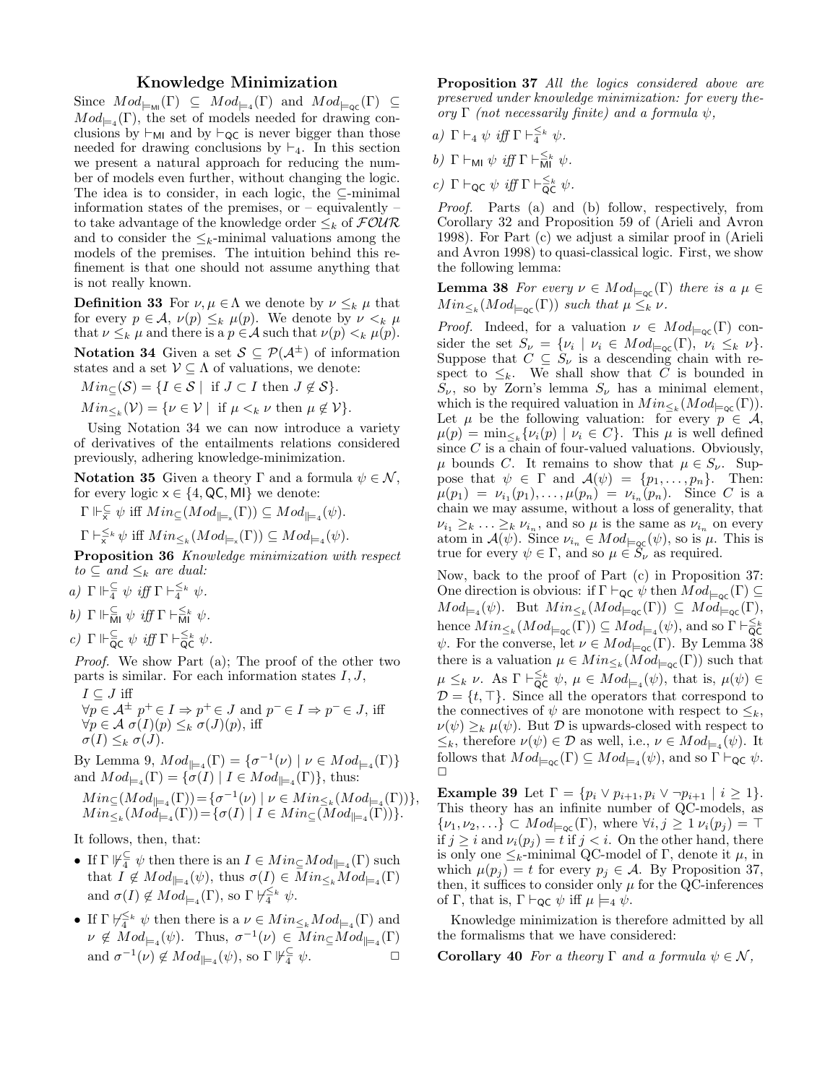# Knowledge Minimization

Since  $Mod_{\models \text{MI}}(\Gamma) \subseteq Mod_{\models_4}(\Gamma)$  and  $Mod_{\models \text{qc}}(\Gamma) \subseteq$  $Mod_{\mathsf{H}_{4}}(\Gamma)$ , the set of models needed for drawing conclusions by  $\vdash_{\mathsf{M}I}$  and by  $\vdash_{\mathsf{QC}}$  is never bigger than those needed for drawing conclusions by  $\vdash_4$ . In this section we present a natural approach for reducing the number of models even further, without changing the logic. The idea is to consider, in each logic, the  $\subseteq$ -minimal information states of the premises, or  $-$  equivalently  $$ to take advantage of the knowledge order  $\leq_k$  of  $\mathcal{FOUR}$ and to consider the  $\leq_k$ -minimal valuations among the models of the premises. The intuition behind this refinement is that one should not assume anything that is not really known.

**Definition 33** For  $\nu, \mu \in \Lambda$  we denote by  $\nu \leq_k \mu$  that for every  $p \in \mathcal{A}$ ,  $\nu(p) \leq_k \mu(p)$ . We denote by  $\nu \leq_k \mu$ that  $\nu \leq_k \mu$  and there is a  $p \in \mathcal{A}$  such that  $\nu(p) \leq_k \mu(p)$ .

**Notation 34** Given a set  $S \subseteq \mathcal{P}(\mathcal{A}^{\pm})$  of information states and a set  $\mathcal{V} \subseteq \Lambda$  of valuations, we denote:

 $Min_{\subset}(\mathcal{S}) = \{I \in \mathcal{S} \mid \text{ if } J \subset I \text{ then } J \notin \mathcal{S}\}.$ 

 $Min_{\leq k}(\mathcal{V}) = \{ \nu \in \mathcal{V} \mid \text{ if } \mu \leq_k \nu \text{ then } \mu \notin \mathcal{V} \}.$ 

Using Notation 34 we can now introduce a variety of derivatives of the entailments relations considered previously, adhering knowledge-minimization.

**Notation 35** Given a theory Γ and a formula  $\psi \in \mathcal{N}$ , for every logic  $x \in \{4, \mathsf{QC}, \mathsf{MI}\}\$  we denote:

 $\Gamma \Vdash_{\overline{x}}^{\subseteq} \psi$  iff  $Min_{\subseteq}(Mod_{\vDash_{\pi}}(\Gamma)) \subseteq Mod_{\vDash_{4}}(\psi)$ .

 $\Gamma \vdash_{\mathsf{x}}^{\leq k} \psi$  iff  $Min_{\leq k}(Mod_{\models_{\mathsf{x}}}(F)) \subseteq Mod_{\models_4}(\psi)$ .

Proposition 36 Knowledge minimization with respect  $to \subseteq$  and  $\leq_k$  are dual:

- a)  $\Gamma \Vdash_{4}^{\subseteq} \psi$  iff  $\Gamma \vdash_{4}^{\leq k} \psi$ .
- b)  $\Gamma \Vdash_{\overline{\mathsf{MI}}}^{\subseteq} \psi \iff \exists f \Gamma \vdash_{\overline{\mathsf{MI}}}^{\leq k} \psi.$
- c)  $\Gamma \Vdash_{\mathsf{QC}} \psi \text{ iff } \Gamma \vdash_{\mathsf{QC}}^{\leq_k} \psi.$

Proof. We show Part (a); The proof of the other two parts is similar. For each information states  $I, J$ ,  $I \subset J$  iff

$$
\forall p \in \mathcal{A}^{\pm} \ p^{+} \in I \Rightarrow p^{+} \in J \text{ and } p^{-} \in I \Rightarrow p^{-} \in J, \text{ iff}
$$
  
\n
$$
\forall p \in \mathcal{A} \ \sigma(I)(p) \leq_k \sigma(J)(p), \text{ iff}
$$
  
\n
$$
\sigma(I) \leq_k \sigma(J).
$$

By Lemma 9, 
$$
Mod_{\parallel =_4}(\Gamma) = \{ \sigma^{-1}(\nu) \mid \nu \in Mod_{\parallel =_4}(\Gamma) \}
$$
  
and  $Mod_{\parallel =_4}(\Gamma) = \{ \sigma(I) \mid I \in Mod_{\parallel =_4}(\Gamma) \}$ , thus:  
 $Min_{\subseteq} (Mod_{\square}(\Gamma)) = \{ \sigma^{-1}(\nu) \mid \nu \in Min_{\subseteq} (Mod_{\square}(\Gamma)) \}$ 

$$
Min_{\subseteq}(Mod_{\models 4}(\Gamma)) = \{\sigma^{-1}(\nu) \mid \nu \in Min_{\leq k}(Mod_{\models 4}(\Gamma))\},
$$
  
\n
$$
Min_{\leq k}(Mod_{\models 4}(\Gamma)) = \{\sigma(I) \mid I \in Min_{\subseteq}(Mod_{\models 4}(\Gamma))\}.
$$

It follows, then, that:

- If  $\Gamma \not\Vdash^{\subseteq}_{4} \psi$  then there is an  $I \in Min_{\subseteq}Mod_{\mid \models_{4}}(\Gamma)$  such that  $I \notin Mod_{\vert \equiv_4}(\psi)$ , thus  $\sigma(I) \in Min_{\leq k}Mod_{\vert \equiv_4}(\Gamma)$ and  $\sigma(I) \notin Mod_{\models_4}(\Gamma)$ , so  $\Gamma \not\vdash_4^{\leq_k} \psi$ .
- If  $\Gamma \not\vdash^{\leq k}_{4} \psi$  then there is a  $\nu \in Min_{\leq k}Mod_{\mathfrak{p}_{4}}(\Gamma)$  and  $\nu \notin Mod_{\mathfrak{t}^{-4}}(\psi)$ . Thus,  $\sigma^{-1}(\nu) \in Min \subseteq Mod_{\mathfrak{t}^{-4}}(\Gamma)$ and  $\sigma^{-1}(\nu) \notin Mod_{\vert =_4}(\psi)$ , so  $\Gamma \not\vert \psi \infty$ .

Proposition 37 All the logics considered above are preserved under knowledge minimization: for every theory Γ (not necessarily finite) and a formula  $ψ$ ,

- a)  $\Gamma \vdash_4 \psi \text{ iff } \Gamma \vdash^{\leq_k}_4 \psi.$
- b)  $\Gamma \vdash_{\mathsf{MI}} \psi \text{ iff } \Gamma \vdash_{\mathsf{MI}}^{\leq_k} \psi.$
- c)  $\Gamma \vdash_{\textsf{QC}} \psi \text{ iff } \Gamma \vdash_{\textsf{QC}}^{\leq_k} \psi.$

Proof. Parts (a) and (b) follow, respectively, from Corollary 32 and Proposition 59 of (Arieli and Avron 1998). For Part (c) we adjust a similar proof in (Arieli and Avron 1998) to quasi-classical logic. First, we show the following lemma:

**Lemma 38** For every  $\nu \in Mod_{\vDash_{\text{OC}}}(\Gamma)$  there is a  $\mu \in$  $Min_{\leq k}(Mod_{\models qc}(\Gamma))$  such that  $\mu \leq_k \nu$ .

*Proof.* Indeed, for a valuation  $\nu \in Mod_{\models_{\mathsf{QC}}}(\Gamma)$  consider the set  $S_{\nu} = {\nu_i \mid \nu_i \in Mod_{\models qc}(\Gamma)}, \ \nu_i \leq_k \nu}.$ Suppose that  $C \subseteq S_{\nu}$  is a descending chain with respect to  $\leq_k$ . We shall show that C is bounded in  $S_{\nu}$ , so by Zorn's lemma  $S_{\nu}$  has a minimal element, which is the required valuation in  $Min_{\leq k}(Mod_{\models \textsf{QC}}(\Gamma)).$ Let  $\mu$  be the following valuation: for every  $p \in \mathcal{A}$ ,  $\mu(p) = \min_{\leq k} {\{\nu_i(p) \mid \nu_i \in C\}}$ . This  $\mu$  is well defined since  $C$  is a chain of four-valued valuations. Obviously,  $\mu$  bounds C. It remains to show that  $\mu \in S_{\nu}$ . Suppose that  $\psi \in \Gamma$  and  $\mathcal{A}(\psi) = \{p_1, \ldots, p_n\}$ . Then:  $\mu(p_1) = \nu_{i_1}(p_1), \ldots, \mu(p_n) = \nu_{i_n}(p_n).$  Since C is a chain we may assume, without a loss of generality, that  $\nu_{i_1} \geq_k \ldots \geq_k \nu_{i_n}$ , and so  $\mu$  is the same as  $\nu_{i_n}$  on every atom in  $\mathcal{A}(\psi)$ . Since  $\nu_{i_n} \in Mod_{\models_{\mathsf{QC}}}(\psi)$ , so is  $\mu$ . This is true for every  $\psi \in \Gamma$ , and so  $\mu \in \hat{S}_{\nu}$  as required.

Now, back to the proof of Part (c) in Proposition 37: One direction is obvious: if  $\Gamma \vdash_{\mathsf{QC}} \psi$  then  $Mod_{\mathsf{F}_{\mathsf{QC}}}(\Gamma) \subseteq$  $Mod_{\mathsf{H}_{\mathsf{q}}}(\psi)$ . But  $Min_{\leq k}(Mod_{\mathsf{H}_{\mathsf{qC}}}(\Gamma)) \subseteq Mod_{\mathsf{H}_{\mathsf{qC}}}(\Gamma)$ , hence  $Min_{\leq k}(Mod_{\models qc}(\Gamma)) \subseteq Mod_{\models 4}(\psi)$ , and so  $\Gamma \vdash_{QC}^{\leq k}$  $\psi$ . For the converse, let  $\nu \in Mod_{\models_{\mathsf{QC}}}(\Gamma)$ . By Lemma 38 there is a valuation  $\mu \in Min_{\leq k}(Mod_{\models \text{qc}}(\Gamma))$  such that  $\mu \leq_k \nu$ . As  $\Gamma \vdash_{\mathsf{QC}}^{\leq_k} \psi$ ,  $\mu \in Mod_{\models_4}(\psi)$ , that is,  $\mu(\psi) \in$  $\mathcal{D} = \{t, \top\}$ . Since all the operators that correspond to the connectives of  $\psi$  are monotone with respect to  $\leq_k$ ,  $\nu(\psi) \geq_k \mu(\psi)$ . But D is upwards-closed with respect to  $\leq_k$ , therefore  $\nu(\psi) \in \mathcal{D}$  as well, i.e.,  $\nu \in Mod_{\models_4}(\psi)$ . It follows that  $Mod_{\sqmodels_{\mathsf{QC}}}(\Gamma) \subseteq Mod_{\sqmodels_4}(\psi)$ , and so  $\Gamma \vdash_{\mathsf{QC}} \psi$ .  $\Box$ 

**Example 39** Let  $\Gamma = \{p_i \lor p_{i+1}, p_i \lor \neg p_{i+1} \mid i \geq 1\}.$ This theory has an infinite number of QC-models, as  $\{\nu_1, \nu_2, ...\} \subset Mod_{\models_{\mathsf{OC}}}(\Gamma)$ , where  $\forall i, j \geq 1$   $\nu_i(p_j) = \top$ if  $j \geq i$  and  $\nu_i(p_i) = t$  if  $j < i$ . On the other hand, there is only one  $\leq_k$ -minimal QC-model of Γ, denote it  $\mu$ , in which  $\mu(p_i) = t$  for every  $p_i \in A$ . By Proposition 37, then, it suffices to consider only  $\mu$  for the QC-inferences of Γ, that is,  $\Gamma \vdash_{\mathsf{QC}} \psi$  iff  $\mu \models_4 \psi$ .

Knowledge minimization is therefore admitted by all the formalisms that we have considered:

**Corollary 40** For a theory  $\Gamma$  and a formula  $\psi \in \mathcal{N}$ ,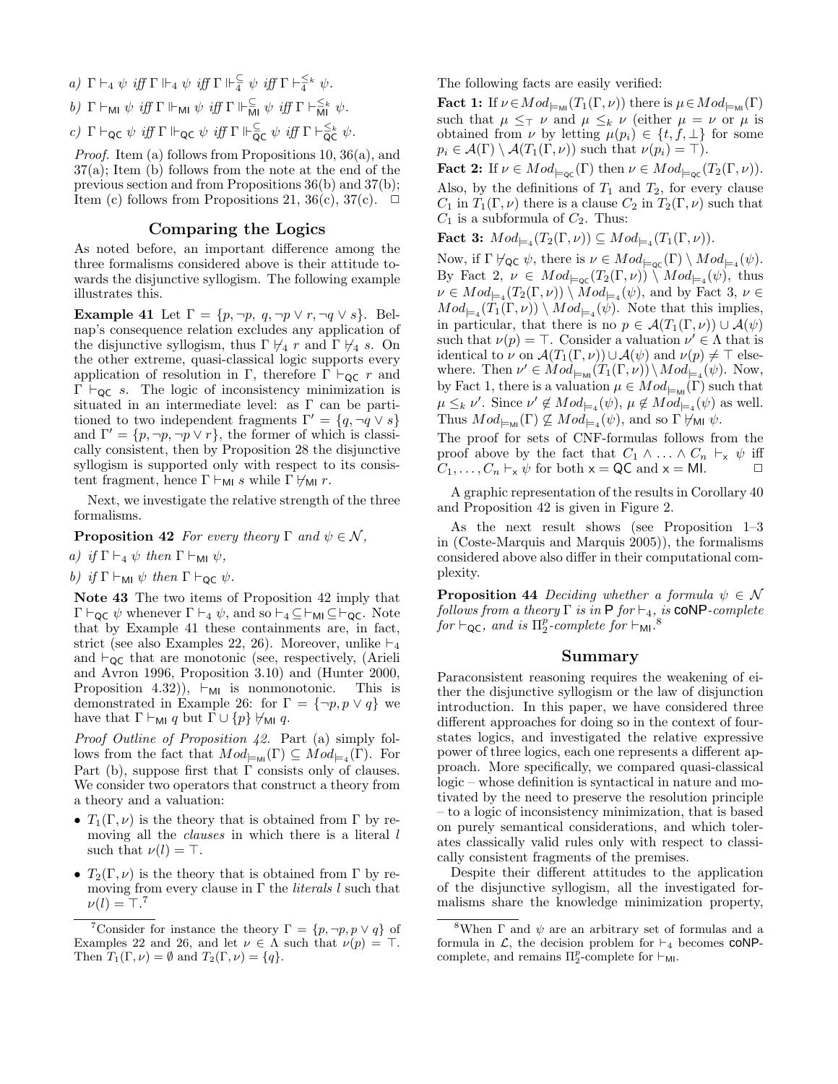- a)  $\Gamma \vdash_4 \psi \text{ iff } \Gamma \Vdash_4 \psi \text{ iff } \Gamma \Vdash^{\subseteq}_4 \psi \text{ iff } \Gamma \vdash^{\leq_k}_{4} \psi.$
- b)  $\Gamma \vdash_{\mathsf{M\!I}} \psi \text{ iff } \Gamma \Vdash_{\mathsf{M\!I}} \psi \text{ iff } \Gamma \Vdash_{\overline{\mathsf{M\!I}}}^{\subseteq} \psi \text{ iff } \Gamma \vdash_{\mathsf{M\!I}}^{\leq_k} \psi.$

c)  $\Gamma \vdash_{\mathsf{QC}} \psi \text{ iff } \Gamma \Vdash_{\mathsf{QC}} \psi \text{ iff } \Gamma \Vdash_{\mathsf{QC}}^{\subseteq} \psi \text{ iff } \Gamma \vdash_{\mathsf{QC}}^{\leq_k} \psi.$ 

Proof. Item (a) follows from Propositions 10, 36(a), and 37(a); Item (b) follows from the note at the end of the previous section and from Propositions 36(b) and 37(b); Item (c) follows from Propositions 21, 36(c), 37(c).  $\Box$ 

#### Comparing the Logics

As noted before, an important difference among the three formalisms considered above is their attitude towards the disjunctive syllogism. The following example illustrates this.

Example 41 Let  $\Gamma = \{p, \neg p, q, \neg p \lor r, \neg q \lor s\}.$  Belnap's consequence relation excludes any application of the disjunctive syllogism, thus  $\Gamma \not\vdash_4 r$  and  $\Gamma \not\vdash_4 s$ . On the other extreme, quasi-classical logic supports every application of resolution in Γ, therefore  $\Gamma \vdash_{\mathsf{QC}} r$  and  $\Gamma \vdash_{\mathsf{QC}} s$ . The logic of inconsistency minimization is situated in an intermediate level: as Γ can be partitioned to two independent fragments  $\Gamma' = \{q, \neg q \lor s\}$ and  $\Gamma' = \{p, \neg p, \neg p \lor r\}$ , the former of which is classically consistent, then by Proposition 28 the disjunctive syllogism is supported only with respect to its consistent fragment, hence  $\Gamma \vdash_{\mathsf{MI}} s$  while  $\Gamma \not \vdash_{\mathsf{MI}} r$ .

Next, we investigate the relative strength of the three formalisms.

**Proposition 42** For every theory  $\Gamma$  and  $\psi \in \mathcal{N}$ ,

- a) if  $\Gamma \vdash_4 \psi$  then  $\Gamma \vdash_{\mathsf{MI}} \psi$ ,
- b) if  $\Gamma \vdash_{\mathsf{MI}} \psi$  then  $\Gamma \vdash_{\mathsf{QC}} \psi$ .

Note 43 The two items of Proposition 42 imply that  $\Gamma \vdash_{\mathsf{QC}} \psi$  whenever  $\Gamma \vdash_4 \psi$ , and so  $\vdash_4 \subseteq \vdash_{\mathsf{MI}} \subseteq \vdash_{\mathsf{QC}}$ . Note that by Example 41 these containments are, in fact, strict (see also Examples 22, 26). Moreover, unlike  $\vdash_4$ and  $\vdash_{\mathsf{QC}}$  that are monotonic (see, respectively, (Arieli and Avron 1996, Proposition 3.10) and (Hunter 2000, Proposition 4.32)),  $\vdash_{\mathsf{MI}}$  is nonmonotonic. This is demonstrated in Example 26: for  $\Gamma = \{\neg p, p \lor q\}$  we have that  $\Gamma \vdash_{\mathsf{MI}} q$  but  $\Gamma \cup \{p\} \not\vdash_{\mathsf{MI}} q$ .

Proof Outline of Proposition 42. Part (a) simply follows from the fact that  $Mod_{\models_{\text{MI}}}(\Gamma) \subseteq Mod_{\models_4}(\Gamma)$ . For Part (b), suppose first that  $\Gamma$  consists only of clauses. We consider two operators that construct a theory from a theory and a valuation:

- $T_1(\Gamma,\nu)$  is the theory that is obtained from  $\Gamma$  by removing all the *clauses* in which there is a literal l such that  $\nu(l) = \top$ .
- $T_2(\Gamma,\nu)$  is the theory that is obtained from  $\Gamma$  by removing from every clause in  $\Gamma$  the *literals l* such that  $\nu(l) = \top$ .<sup>7</sup>

<sup>7</sup>Consider for instance the theory  $\Gamma = \{p, \neg p, p \lor q\}$  of Examples 22 and 26, and let  $\nu \in \Lambda$  such that  $\nu(p) = \top$ . Then  $T_1(\Gamma,\nu) = \emptyset$  and  $T_2(\Gamma,\nu) = \{q\}.$ 

The following facts are easily verified:

**Fact 1:** If  $\nu \in Mod_{\models_{\mathcal{M}}}(T_1(\Gamma, \nu))$  there is  $\mu \in Mod_{\models_{\mathcal{M}}}(\Gamma)$ such that  $\mu \leq_{\top} \nu$  and  $\mu \leq_{k} \nu$  (either  $\mu = \nu$  or  $\mu$  is obtained from  $\nu$  by letting  $\mu(p_i) \in \{t, f, \perp\}$  for some  $p_i \in \mathcal{A}(\Gamma) \setminus \mathcal{A}(T_1(\Gamma,\nu))$  such that  $\nu(p_i) = \top$ ).

**Fact 2:** If  $\nu \in Mod_{\models_{\mathsf{QC}}}(\Gamma)$  then  $\nu \in Mod_{\models_{\mathsf{QC}}}(\Gamma_2(\Gamma, \nu))$ . Also, by the definitions of  $T_1$  and  $T_2$ , for every clause  $C_1$  in  $T_1(\Gamma,\nu)$  there is a clause  $C_2$  in  $T_2(\Gamma,\nu)$  such that  $C_1$  is a subformula of  $C_2$ . Thus:

**Fact 3:**  $Mod_{\models_4}(T_2(\Gamma, \nu)) \subseteq Mod_{\models_4}(T_1(\Gamma, \nu)).$ 

Now, if  $\Gamma \not\vdash_{\mathsf{QC}} \psi$ , there is  $\nu \in Mod_{\models_{\mathsf{QC}}}(\Gamma) \setminus Mod_{\models_4}(\psi)$ . By Fact 2,  $\nu \in Mod_{\sqsubset_{\mathsf{QC}}}(T_2(\Gamma,\nu)) \setminus Mod_{\sqsubset_{\mathsf{A}}}(\psi)$ , thus  $\nu \in Mod_{\models_4}(T_2(\Gamma, \nu)) \setminus Mod_{\models_4}(\psi)$ , and by Fact 3,  $\nu \in$  $Mod_{\mathsf{H}_{4}}(T_1(\Gamma,\nu)) \setminus Mod_{\mathsf{H}_{4}}(\psi)$ . Note that this implies, in particular, that there is no  $p \in \mathcal{A}(T_1(\Gamma,\nu)) \cup \mathcal{A}(\psi)$ such that  $\nu(p) = \top$ . Consider a valuation  $\nu' \in \Lambda$  that is identical to  $\nu$  on  $\mathcal{A}(T_1(\Gamma,\nu)) \cup \mathcal{A}(\psi)$  and  $\nu(p) \neq \top$  elsewhere. Then  $\nu' \in Mod_{\models_{\mathcal{M}}}(T_1(\Gamma,\nu)) \setminus Mod_{\models_4}(\psi)$ . Now, by Fact 1, there is a valuation  $\mu \in Mod_{\models_{\mathsf{MI}}}(\Gamma)$  such that  $\mu \leq_k \nu'$ . Since  $\nu' \notin Mod_{\models_4}(\psi)$ ,  $\mu \notin Mod_{\models_4}(\psi)$  as well. Thus  $Mod_{\models_{\mathsf{MI}}}(\Gamma) \not\subseteq Mod_{\models_4}(\psi)$ , and so  $\Gamma \not\vdash_{\mathsf{MII}} \psi$ .

The proof for sets of CNF-formulas follows from the proof above by the fact that  $C_1 \wedge \ldots \wedge C_n \vdash_{\mathsf{x}} \psi$  iff  $C_1, \ldots, C_n \vdash_{\mathsf{x}} \psi$  for both  $\mathsf{x} = \mathsf{QC}$  and  $\mathsf{x} = \mathsf{ML}$ .  $\Box$ 

A graphic representation of the results in Corollary 40 and Proposition 42 is given in Figure 2.

As the next result shows (see Proposition 1–3 in (Coste-Marquis and Marquis 2005)), the formalisms considered above also differ in their computational complexity.

**Proposition 44** Deciding whether a formula  $\psi \in \mathcal{N}$ follows from a theory  $\Gamma$  is in  $\mathsf{P}$  for  $\vdash_4$ , is **coNP**-complete for  $\vdash_{\mathsf{QC}}$ , and is  $\Pi_2^p$ -complete for  $\vdash_{\mathsf{MI}}$ .<sup>8</sup>

#### Summary

Paraconsistent reasoning requires the weakening of either the disjunctive syllogism or the law of disjunction introduction. In this paper, we have considered three different approaches for doing so in the context of fourstates logics, and investigated the relative expressive power of three logics, each one represents a different approach. More specifically, we compared quasi-classical logic – whose definition is syntactical in nature and motivated by the need to preserve the resolution principle – to a logic of inconsistency minimization, that is based on purely semantical considerations, and which tolerates classically valid rules only with respect to classically consistent fragments of the premises.

Despite their different attitudes to the application of the disjunctive syllogism, all the investigated formalisms share the knowledge minimization property,

<sup>&</sup>lt;sup>8</sup>When  $\Gamma$  and  $\psi$  are an arbitrary set of formulas and a formula in  $\mathcal{L}$ , the decision problem for  $\vdash_4$  becomes **coNP**complete, and remains  $\Pi_2^p$ -complete for  $\vdash_{\mathsf{M}\mathsf{I}}$ .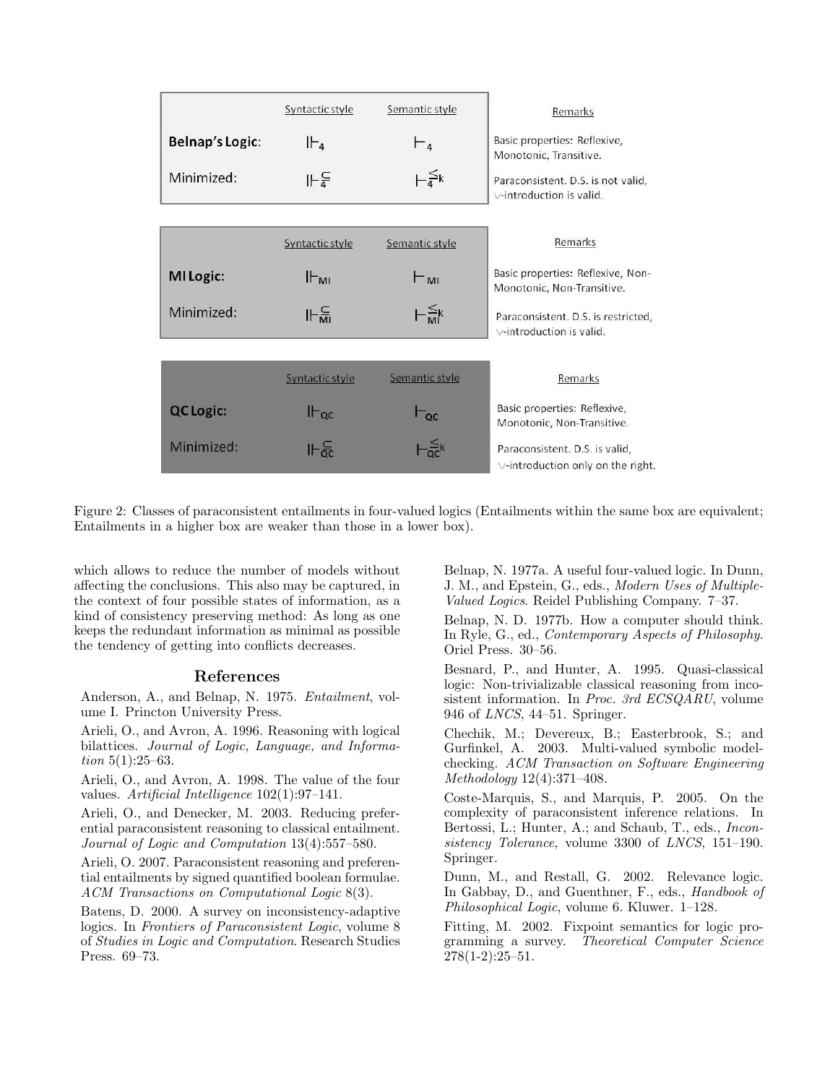|                 | Syntactic style | Semantic style                          | Remarks                                                                   |
|-----------------|-----------------|-----------------------------------------|---------------------------------------------------------------------------|
| Belnap's Logic: | II-a            | $\vdash$ <sub>4</sub>                   | Basic properties: Reflexive,<br>Monotonic, Transitive.                    |
| Minimized:      | ⊩⊊              | $\vdash^{\leq k}_{\underline{a}}$       | Paraconsistent. D.S. is not valid,<br>$\vee$ -introduction is valid.      |
|                 |                 |                                         |                                                                           |
|                 | Syntactic style | Semantic style                          | Remarks                                                                   |
| MI Logic:       | $H_{ML}$        | $\vdash_{\mathsf{MI}}$                  | Basic properties: Reflexive, Non-<br>Monotonic, Non-Transitive.           |
| Minimized:      | 나일              | $\vdash_{\mathsf{M}^{\leq k}}^{\leq k}$ | Paraconsistent. D.S. is restricted.<br>$\vee$ -introduction is valid.     |
|                 |                 |                                         |                                                                           |
|                 | Syntactic style | Semantic style                          | Remarks                                                                   |
| <b>QCLogic:</b> | $H_{\rm QC}$    | $\mathsf{L}_{\mathsf{QC}}$              | Basic properties: Reflexive,<br>Monotonic, Non-Transitive.                |
| Minimized:      | 바운              | $-\frac{\leq}{\alpha c}k$               | Paraconsistent. D.S. is valid,<br>$\vee$ -introduction only on the right. |

Figure 2: Classes of paraconsistent entailments in four-valued logics (Entailments within the same box are equivalent; Entailments in a higher box are weaker than those in a lower box).

which allows to reduce the number of models without affecting the conclusions. This also may be captured, in the context of four possible states of information, as a kind of consistency preserving method: As long as one keeps the redundant information as minimal as possible the tendency of getting into conflicts decreases.

# References

Anderson, A., and Belnap, N. 1975. Entailment, volume I. Princton University Press.

Arieli, O., and Avron, A. 1996. Reasoning with logical bilattices. Journal of Logic, Language, and Information 5(1):25–63.

Arieli, O., and Avron, A. 1998. The value of the four values. Artificial Intelligence 102(1):97–141.

Arieli, O., and Denecker, M. 2003. Reducing preferential paraconsistent reasoning to classical entailment. Journal of Logic and Computation 13(4):557–580.

Arieli, O. 2007. Paraconsistent reasoning and preferential entailments by signed quantified boolean formulae. ACM Transactions on Computational Logic 8(3).

Batens, D. 2000. A survey on inconsistency-adaptive logics. In Frontiers of Paraconsistent Logic, volume 8 of Studies in Logic and Computation. Research Studies Press. 69–73.

Belnap, N. 1977a. A useful four-valued logic. In Dunn, J. M., and Epstein, G., eds., Modern Uses of Multiple-Valued Logics. Reidel Publishing Company. 7–37.

Belnap, N. D. 1977b. How a computer should think. In Ryle, G., ed., Contemporary Aspects of Philosophy. Oriel Press. 30–56.

Besnard, P., and Hunter, A. 1995. Quasi-classical logic: Non-trivializable classical reasoning from incosistent information. In *Proc. 3rd ECSQARU*, volume 946 of LNCS, 44–51. Springer.

Chechik, M.; Devereux, B.; Easterbrook, S.; and Gurfinkel, A. 2003. Multi-valued symbolic modelchecking. ACM Transaction on Software Engineering Methodology 12(4):371–408.

Coste-Marquis, S., and Marquis, P. 2005. On the complexity of paraconsistent inference relations. In Bertossi, L.; Hunter, A.; and Schaub, T., eds., Inconsistency Tolerance, volume 3300 of LNCS, 151–190. Springer.

Dunn, M., and Restall, G. 2002. Relevance logic. In Gabbay, D., and Guenthner, F., eds., *Handbook of* Philosophical Logic, volume 6. Kluwer. 1–128.

Fitting, M. 2002. Fixpoint semantics for logic programming a survey. Theoretical Computer Science 278(1-2):25–51.